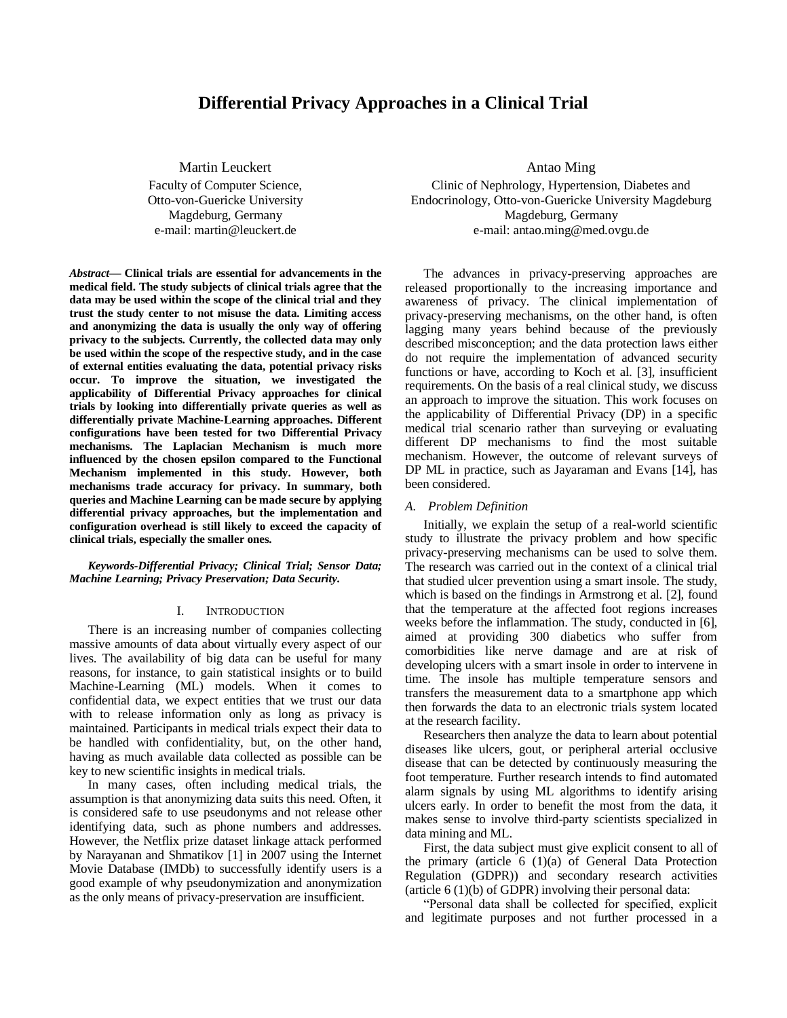# **Differential Privacy Approaches in a Clinical Trial**

Martin Leuckert

Faculty of Computer Science, Otto-von-Guericke University Magdeburg, Germany e-mail: martin@leuckert.de

*Abstract***— Clinical trials are essential for advancements in the medical field. The study subjects of clinical trials agree that the data may be used within the scope of the clinical trial and they trust the study center to not misuse the data. Limiting access and anonymizing the data is usually the only way of offering privacy to the subjects. Currently, the collected data may only be used within the scope of the respective study, and in the case of external entities evaluating the data, potential privacy risks occur. To improve the situation, we investigated the applicability of Differential Privacy approaches for clinical trials by looking into differentially private queries as well as differentially private Machine-Learning approaches. Different configurations have been tested for two Differential Privacy mechanisms. The Laplacian Mechanism is much more influenced by the chosen epsilon compared to the Functional Mechanism implemented in this study. However, both mechanisms trade accuracy for privacy. In summary, both queries and Machine Learning can be made secure by applying differential privacy approaches, but the implementation and configuration overhead is still likely to exceed the capacity of clinical trials, especially the smaller ones.**

## *Keywords-Differential Privacy; Clinical Trial; Sensor Data; Machine Learning; Privacy Preservation; Data Security.*

#### I. INTRODUCTION

There is an increasing number of companies collecting massive amounts of data about virtually every aspect of our lives. The availability of big data can be useful for many reasons, for instance, to gain statistical insights or to build Machine-Learning (ML) models. When it comes to confidential data, we expect entities that we trust our data with to release information only as long as privacy is maintained. Participants in medical trials expect their data to be handled with confidentiality, but, on the other hand, having as much available data collected as possible can be key to new scientific insights in medical trials.

In many cases, often including medical trials, the assumption is that anonymizing data suits this need. Often, it is considered safe to use pseudonyms and not release other identifying data, such as phone numbers and addresses. However, the Netflix prize dataset linkage attack performed by Narayanan and Shmatikov [1] in 2007 using the Internet Movie Database (IMDb) to successfully identify users is a good example of why pseudonymization and anonymization as the only means of privacy-preservation are insufficient.

Antao Ming

Clinic of Nephrology, Hypertension, Diabetes and Endocrinology, Otto-von-Guericke University Magdeburg Magdeburg, Germany e-mail: antao.ming@med.ovgu.de

The advances in privacy-preserving approaches are released proportionally to the increasing importance and awareness of privacy. The clinical implementation of privacy-preserving mechanisms, on the other hand, is often lagging many years behind because of the previously described misconception; and the data protection laws either do not require the implementation of advanced security functions or have, according to Koch et al. [3], insufficient requirements. On the basis of a real clinical study, we discuss an approach to improve the situation. This work focuses on the applicability of Differential Privacy (DP) in a specific medical trial scenario rather than surveying or evaluating different DP mechanisms to find the most suitable mechanism. However, the outcome of relevant surveys of DP ML in practice, such as Jayaraman and Evans [14], has been considered.

#### *A. Problem Definition*

Initially, we explain the setup of a real-world scientific study to illustrate the privacy problem and how specific privacy-preserving mechanisms can be used to solve them. The research was carried out in the context of a clinical trial that studied ulcer prevention using a smart insole. The study, which is based on the findings in Armstrong et al. [2], found that the temperature at the affected foot regions increases weeks before the inflammation. The study, conducted in [6], aimed at providing 300 diabetics who suffer from comorbidities like nerve damage and are at risk of developing ulcers with a smart insole in order to intervene in time. The insole has multiple temperature sensors and transfers the measurement data to a smartphone app which then forwards the data to an electronic trials system located at the research facility.

Researchers then analyze the data to learn about potential diseases like ulcers, gout, or peripheral arterial occlusive disease that can be detected by continuously measuring the foot temperature. Further research intends to find automated alarm signals by using ML algorithms to identify arising ulcers early. In order to benefit the most from the data, it makes sense to involve third-party scientists specialized in data mining and ML.

First, the data subject must give explicit consent to all of the primary (article 6 (1)(a) of General Data Protection Regulation (GDPR)) and secondary research activities (article 6 (1)(b) of GDPR) involving their personal data:

"Personal data shall be collected for specified, explicit and legitimate purposes and not further processed in a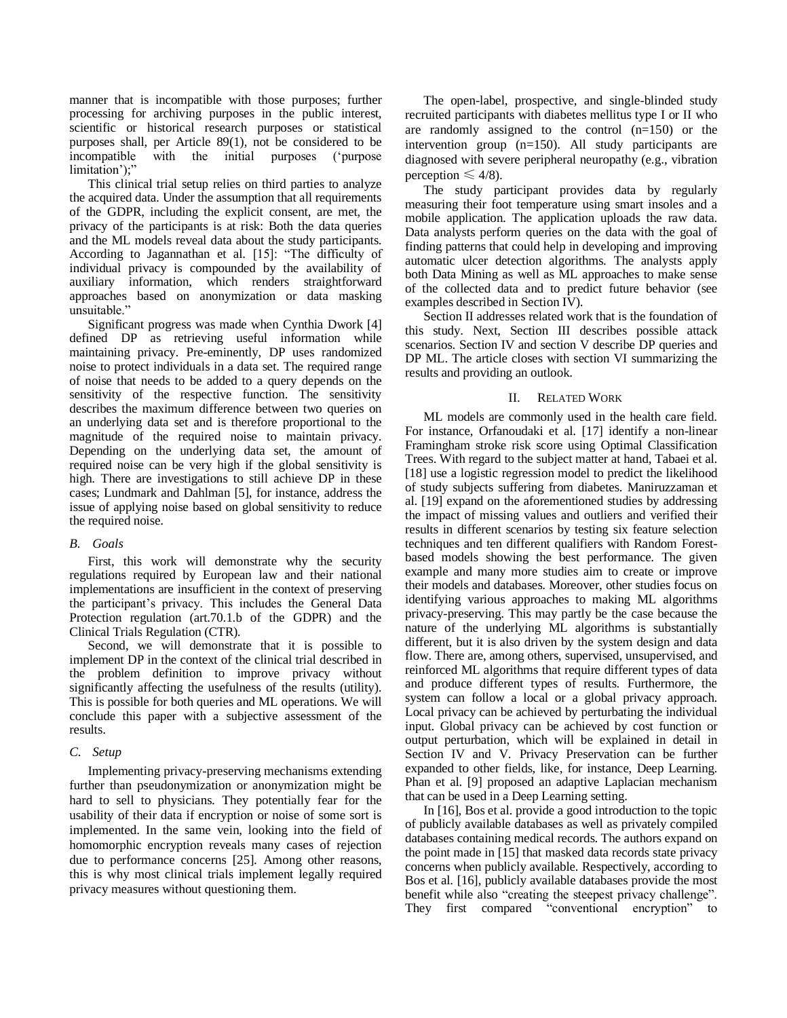manner that is incompatible with those purposes; further processing for archiving purposes in the public interest, scientific or historical research purposes or statistical purposes shall, per Article 89(1), not be considered to be incompatible with the initial purposes ('purpose limitation');"

This clinical trial setup relies on third parties to analyze the acquired data. Under the assumption that all requirements of the GDPR, including the explicit consent, are met, the privacy of the participants is at risk: Both the data queries and the ML models reveal data about the study participants. According to Jagannathan et al. [15]: "The difficulty of individual privacy is compounded by the availability of auxiliary information, which renders straightforward approaches based on anonymization or data masking unsuitable."

Significant progress was made when Cynthia Dwork [4] defined DP as retrieving useful information while maintaining privacy. Pre-eminently, DP uses randomized noise to protect individuals in a data set. The required range of noise that needs to be added to a query depends on the sensitivity of the respective function. The sensitivity describes the maximum difference between two queries on an underlying data set and is therefore proportional to the magnitude of the required noise to maintain privacy. Depending on the underlying data set, the amount of required noise can be very high if the global sensitivity is high. There are investigations to still achieve DP in these cases; Lundmark and Dahlman [5], for instance, address the issue of applying noise based on global sensitivity to reduce the required noise.

# *B. Goals*

First, this work will demonstrate why the security regulations required by European law and their national implementations are insufficient in the context of preserving the participant's privacy. This includes the General Data Protection regulation (art.70.1.b of the GDPR) and the Clinical Trials Regulation (CTR).

Second, we will demonstrate that it is possible to implement DP in the context of the clinical trial described in the problem definition to improve privacy without significantly affecting the usefulness of the results (utility). This is possible for both queries and ML operations. We will conclude this paper with a subjective assessment of the results.

# *C. Setup*

Implementing privacy-preserving mechanisms extending further than pseudonymization or anonymization might be hard to sell to physicians. They potentially fear for the usability of their data if encryption or noise of some sort is implemented. In the same vein, looking into the field of homomorphic encryption reveals many cases of rejection due to performance concerns [25]. Among other reasons, this is why most clinical trials implement legally required privacy measures without questioning them.

The open-label, prospective, and single-blinded study recruited participants with diabetes mellitus type I or II who are randomly assigned to the control (n=150) or the intervention group (n=150). All study participants are diagnosed with severe peripheral neuropathy (e.g., vibration perception  $\leq 4/8$ ).

The study participant provides data by regularly measuring their foot temperature using smart insoles and a mobile application. The application uploads the raw data. Data analysts perform queries on the data with the goal of finding patterns that could help in developing and improving automatic ulcer detection algorithms. The analysts apply both Data Mining as well as ML approaches to make sense of the collected data and to predict future behavior (see examples described in Section IV).

Section II addresses related work that is the foundation of this study. Next, Section III describes possible attack scenarios. Section IV and section V describe DP queries and DP ML. The article closes with section VI summarizing the results and providing an outlook.

# II. RELATED WORK

ML models are commonly used in the health care field. For instance, Orfanoudaki et al. [17] identify a non-linear Framingham stroke risk score using Optimal Classification Trees. With regard to the subject matter at hand, Tabaei et al. [18] use a logistic regression model to predict the likelihood of study subjects suffering from diabetes. Maniruzzaman et al. [19] expand on the aforementioned studies by addressing the impact of missing values and outliers and verified their results in different scenarios by testing six feature selection techniques and ten different qualifiers with Random Forestbased models showing the best performance. The given example and many more studies aim to create or improve their models and databases. Moreover, other studies focus on identifying various approaches to making ML algorithms privacy-preserving. This may partly be the case because the nature of the underlying ML algorithms is substantially different, but it is also driven by the system design and data flow. There are, among others, supervised, unsupervised, and reinforced ML algorithms that require different types of data and produce different types of results. Furthermore, the system can follow a local or a global privacy approach. Local privacy can be achieved by perturbating the individual input. Global privacy can be achieved by cost function or output perturbation, which will be explained in detail in Section IV and V. Privacy Preservation can be further expanded to other fields, like, for instance, Deep Learning. Phan et al. [9] proposed an adaptive Laplacian mechanism that can be used in a Deep Learning setting.

In [16], Bos et al. provide a good introduction to the topic of publicly available databases as well as privately compiled databases containing medical records. The authors expand on the point made in [15] that masked data records state privacy concerns when publicly available. Respectively, according to Bos et al. [16], publicly available databases provide the most benefit while also "creating the steepest privacy challenge". They first compared "conventional encryption"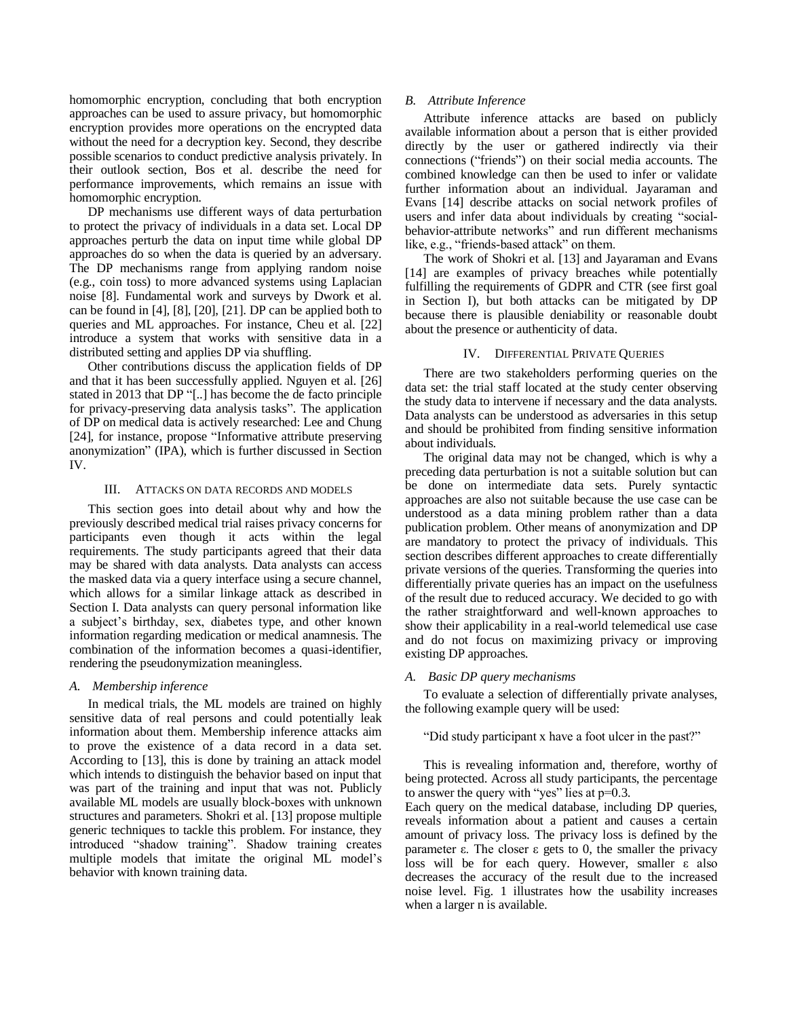homomorphic encryption, concluding that both encryption approaches can be used to assure privacy, but homomorphic encryption provides more operations on the encrypted data without the need for a decryption key. Second, they describe possible scenarios to conduct predictive analysis privately. In their outlook section, Bos et al. describe the need for performance improvements, which remains an issue with homomorphic encryption.

DP mechanisms use different ways of data perturbation to protect the privacy of individuals in a data set. Local DP approaches perturb the data on input time while global DP approaches do so when the data is queried by an adversary. The DP mechanisms range from applying random noise (e.g., coin toss) to more advanced systems using Laplacian noise [8]. Fundamental work and surveys by Dwork et al. can be found in [4], [8], [20], [21]. DP can be applied both to queries and ML approaches. For instance, Cheu et al. [22] introduce a system that works with sensitive data in a distributed setting and applies DP via shuffling.

Other contributions discuss the application fields of DP and that it has been successfully applied. Nguyen et al. [26] stated in 2013 that DP "[..] has become the de facto principle for privacy-preserving data analysis tasks". The application of DP on medical data is actively researched: Lee and Chung [24], for instance, propose "Informative attribute preserving anonymization" (IPA), which is further discussed in Section IV.

## III. ATTACKS ON DATA RECORDS AND MODELS

This section goes into detail about why and how the previously described medical trial raises privacy concerns for participants even though it acts within the legal requirements. The study participants agreed that their data may be shared with data analysts. Data analysts can access the masked data via a query interface using a secure channel, which allows for a similar linkage attack as described in Section I. Data analysts can query personal information like a subject's birthday, sex, diabetes type, and other known information regarding medication or medical anamnesis. The combination of the information becomes a quasi-identifier, rendering the pseudonymization meaningless.

## *A. Membership inference*

In medical trials, the ML models are trained on highly sensitive data of real persons and could potentially leak information about them. Membership inference attacks aim to prove the existence of a data record in a data set. According to [13], this is done by training an attack model which intends to distinguish the behavior based on input that was part of the training and input that was not. Publicly available ML models are usually block-boxes with unknown structures and parameters. Shokri et al. [13] propose multiple generic techniques to tackle this problem. For instance, they introduced "shadow training". Shadow training creates multiple models that imitate the original ML model's behavior with known training data.

## *B. Attribute Inference*

Attribute inference attacks are based on publicly available information about a person that is either provided directly by the user or gathered indirectly via their connections ("friends") on their social media accounts. The combined knowledge can then be used to infer or validate further information about an individual. Jayaraman and Evans [14] describe attacks on social network profiles of users and infer data about individuals by creating "socialbehavior-attribute networks" and run different mechanisms like, e.g., "friends-based attack" on them.

The work of Shokri et al. [13] and Jayaraman and Evans [14] are examples of privacy breaches while potentially fulfilling the requirements of GDPR and CTR (see first goal in Section I), but both attacks can be mitigated by DP because there is plausible deniability or reasonable doubt about the presence or authenticity of data.

## IV. DIFFERENTIAL PRIVATE QUERIES

There are two stakeholders performing queries on the data set: the trial staff located at the study center observing the study data to intervene if necessary and the data analysts. Data analysts can be understood as adversaries in this setup and should be prohibited from finding sensitive information about individuals.

The original data may not be changed, which is why a preceding data perturbation is not a suitable solution but can be done on intermediate data sets. Purely syntactic approaches are also not suitable because the use case can be understood as a data mining problem rather than a data publication problem. Other means of anonymization and DP are mandatory to protect the privacy of individuals. This section describes different approaches to create differentially private versions of the queries. Transforming the queries into differentially private queries has an impact on the usefulness of the result due to reduced accuracy. We decided to go with the rather straightforward and well-known approaches to show their applicability in a real-world telemedical use case and do not focus on maximizing privacy or improving existing DP approaches.

#### *A. Basic DP query mechanisms*

To evaluate a selection of differentially private analyses, the following example query will be used:

"Did study participant x have a foot ulcer in the past?"

This is revealing information and, therefore, worthy of being protected. Across all study participants, the percentage to answer the query with "yes" lies at p=0.3.

Each query on the medical database, including DP queries, reveals information about a patient and causes a certain amount of privacy loss. The privacy loss is defined by the parameter ε. The closer ε gets to 0, the smaller the privacy loss will be for each query. However, smaller ε also decreases the accuracy of the result due to the increased noise level. Fig. 1 illustrates how the usability increases when a larger n is available.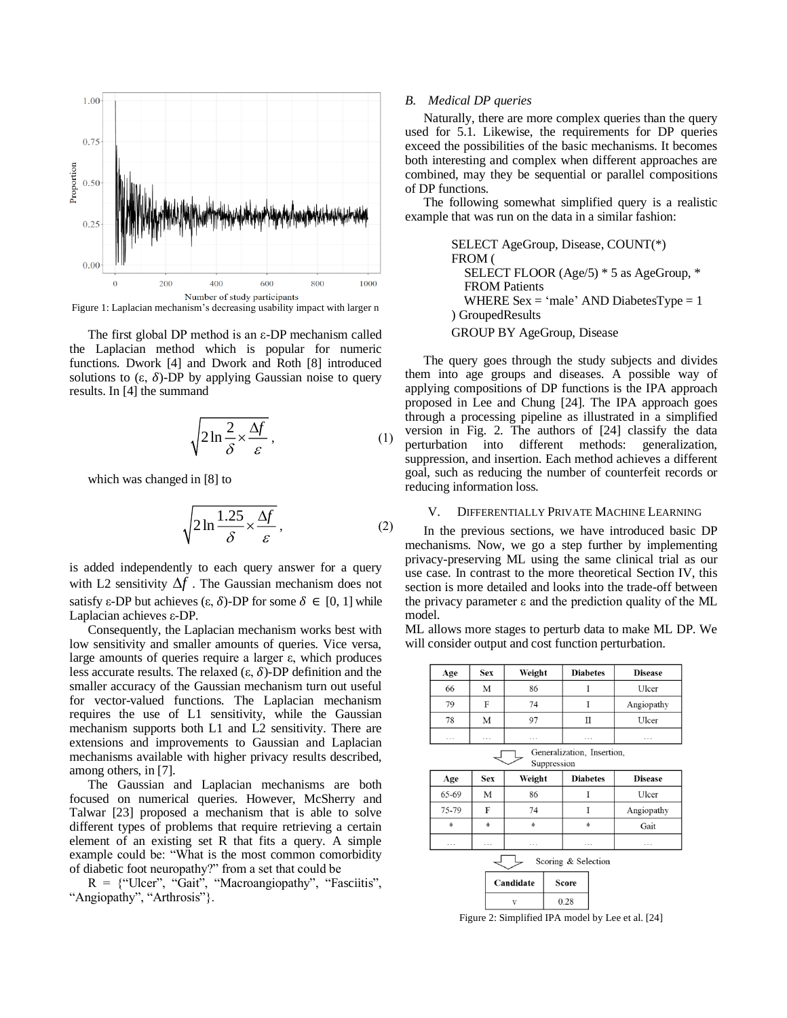

Figure 1: Laplacian mechanism's decreasing usability impact with larger n

The first global DP method is an ε-DP mechanism called the Laplacian method which is popular for numeric functions. Dwork [4] and Dwork and Roth [8] introduced solutions to  $(\varepsilon, \delta)$ -DP by applying Gaussian noise to query results. In [4] the summand

$$
\sqrt{2\ln\frac{2}{\delta} \times \frac{\Delta f}{\varepsilon}}\,,\tag{1}
$$

which was changed in [8] to

$$
\sqrt{2\ln\frac{1.25}{\delta} \times \frac{\Delta f}{\varepsilon}},\tag{2}
$$

is added independently to each query answer for a query with L2 sensitivity  $\Delta f$ . The Gaussian mechanism does not satisfy ε-DP but achieves (ε, δ)-DP for some  $\delta \in [0, 1]$  while Laplacian achieves ε-DP.

Consequently, the Laplacian mechanism works best with low sensitivity and smaller amounts of queries. Vice versa, large amounts of queries require a larger ε, which produces less accurate results. The relaxed  $(ε, δ)$ -DP definition and the smaller accuracy of the Gaussian mechanism turn out useful for vector-valued functions. The Laplacian mechanism requires the use of L1 sensitivity, while the Gaussian mechanism supports both L1 and L2 sensitivity. There are extensions and improvements to Gaussian and Laplacian mechanisms available with higher privacy results described, among others, in [7].

The Gaussian and Laplacian mechanisms are both focused on numerical queries. However, McSherry and Talwar [23] proposed a mechanism that is able to solve different types of problems that require retrieving a certain element of an existing set R that fits a query. A simple example could be: "What is the most common comorbidity of diabetic foot neuropathy?" from a set that could be

 $R =$  {"Ulcer", "Gait", "Macroangiopathy", "Fasciitis", "Angiopathy", "Arthrosis"}.

#### *B. Medical DP queries*

Naturally, there are more complex queries than the query used for 5.1. Likewise, the requirements for DP queries exceed the possibilities of the basic mechanisms. It becomes both interesting and complex when different approaches are combined, may they be sequential or parallel compositions of DP functions.

The following somewhat simplified query is a realistic example that was run on the data in a similar fashion:

> SELECT AgeGroup, Disease, COUNT(\*) FROM ( SELECT FLOOR (Age/5) \* 5 as AgeGroup, \* FROM Patients WHERE  $Sex = 'male' AND DiabetesType = 1$ ) GroupedResults GROUP BY AgeGroup, Disease

The query goes through the study subjects and divides them into age groups and diseases. A possible way of applying compositions of DP functions is the IPA approach proposed in Lee and Chung [24]. The IPA approach goes through a processing pipeline as illustrated in a simplified version in Fig. 2. The authors of [24] classify the data perturbation into different methods: generalization, suppression, and insertion. Each method achieves a different goal, such as reducing the number of counterfeit records or reducing information loss.

#### V. DIFFERENTIALLY PRIVATE MACHINE LEARNING

In the previous sections, we have introduced basic DP mechanisms. Now, we go a step further by implementing privacy-preserving ML using the same clinical trial as our use case. In contrast to the more theoretical Section IV, this section is more detailed and looks into the trade-off between the privacy parameter  $ε$  and the prediction quality of the ML model.

ML allows more stages to perturb data to make ML DP. We will consider output and cost function perturbation.

| Age      | <b>Sex</b> | Weight         | <b>Diabetes</b>            | <b>Disease</b> |
|----------|------------|----------------|----------------------------|----------------|
| 66       | M          | 86             |                            | Ulcer          |
| 79       | F          | 74             | I                          | Angiopathy     |
| 78       | M          | 97             | $_{\rm II}$                | Ulcer          |
| $\cdots$ | $\cdots$   | $\cdots$       | $\cdots$                   | $\cdots$       |
|          |            | Suppression    | Generalization, Insertion, |                |
| Age      | <b>Sex</b> | Weight         | <b>Diabetes</b>            | <b>Disease</b> |
| 65-69    | M          | 86             |                            | Ulcer          |
| 75.70    | E          | 7 <sub>A</sub> |                            | Angiopathy     |

ng10pathy Gait

Scoring & Selection



Figure 2: Simplified IPA model by Lee et al. [24]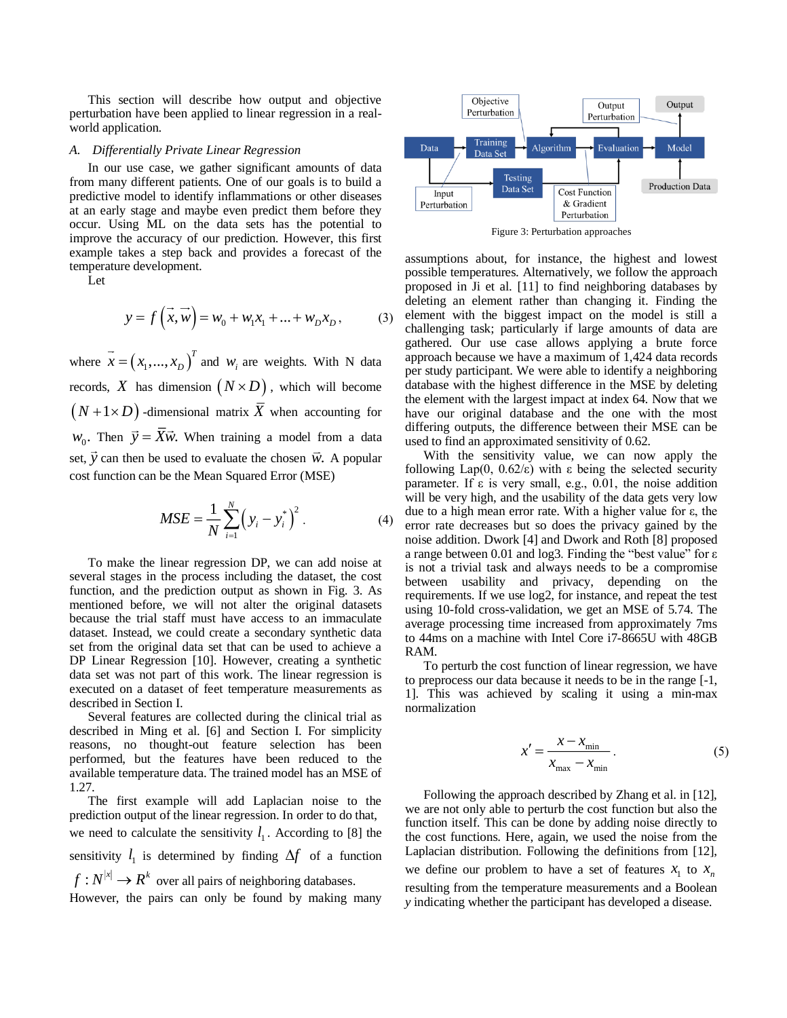This section will describe how output and objective perturbation have been applied to linear regression in a realworld application.

## *A. Differentially Private Linear Regression*

In our use case, we gather significant amounts of data from many different patients. One of our goals is to build a predictive model to identify inflammations or other diseases at an early stage and maybe even predict them before they occur. Using ML on the data sets has the potential to improve the accuracy of our prediction. However, this first example takes a step back and provides a forecast of the temperature development.

Let

$$
y = f\left(\vec{x}, \vec{w}\right) = w_0 + w_1 x_1 + \dots + w_p x_p, \tag{3}
$$

where  $\vec{x} = (x_1, ..., x_D)^T$  $X = (x_1, \ldots, x_D)$  and  $W_i$  are weights. With N data records, X has dimension  $(N \times D)$ , which will become  $(N+1\times D)$  -dimensional matrix  $\overline{X}$  when accounting for  $w_0$ . Then  $\vec{y} = X\vec{w}$ . When training a model from a data set,  $\vec{y}$  can then be used to evaluate the chosen  $\vec{w}$ . A popular cost function can be the Mean Squared Error (MSE)

$$
MSE = \frac{1}{N} \sum_{i=1}^{N} (y_i - y_i^*)^2.
$$
 (4)

To make the linear regression DP, we can add noise at several stages in the process including the dataset, the cost function, and the prediction output as shown in Fig. 3. As mentioned before, we will not alter the original datasets because the trial staff must have access to an immaculate dataset. Instead, we could create a secondary synthetic data set from the original data set that can be used to achieve a DP Linear Regression [10]. However, creating a synthetic data set was not part of this work. The linear regression is executed on a dataset of feet temperature measurements as described in Section I.

Several features are collected during the clinical trial as described in Ming et al. [6] and Section I. For simplicity reasons, no thought-out feature selection has been performed, but the features have been reduced to the available temperature data. The trained model has an MSE of 1.27.

The first example will add Laplacian noise to the prediction output of the linear regression. In order to do that, we need to calculate the sensitivity  $l_1$ . According to [8] the sensitivity  $l_1$  is determined by finding  $\Delta f$  of a function  $f: N^{|x|} \to R^k$  over all pairs of neighboring databases.

However, the pairs can only be found by making many



Figure 3: Perturbation approaches

assumptions about, for instance, the highest and lowest possible temperatures. Alternatively, we follow the approach proposed in Ji et al. [11] to find neighboring databases by deleting an element rather than changing it. Finding the element with the biggest impact on the model is still a challenging task; particularly if large amounts of data are gathered. Our use case allows applying a brute force approach because we have a maximum of 1,424 data records per study participant. We were able to identify a neighboring database with the highest difference in the MSE by deleting the element with the largest impact at index 64. Now that we have our original database and the one with the most differing outputs, the difference between their MSE can be used to find an approximated sensitivity of 0.62.

With the sensitivity value, we can now apply the following Lap(0,  $0.62/\epsilon$ ) with  $\epsilon$  being the selected security parameter. If  $\varepsilon$  is very small, e.g., 0.01, the noise addition will be very high, and the usability of the data gets very low due to a high mean error rate. With a higher value for ε, the error rate decreases but so does the privacy gained by the noise addition. Dwork [4] and Dwork and Roth [8] proposed a range between 0.01 and log3. Finding the "best value" for ε is not a trivial task and always needs to be a compromise between usability and privacy, depending on the requirements. If we use log2, for instance, and repeat the test using 10-fold cross-validation, we get an MSE of 5.74. The average processing time increased from approximately 7ms to 44ms on a machine with Intel Core i7-8665U with 48GB RAM.

To perturb the cost function of linear regression, we have to preprocess our data because it needs to be in the range [-1, 1]. This was achieved by scaling it using a min-max normalization

$$
x' = \frac{x - x_{\min}}{x_{\max} - x_{\min}}.
$$
 (5)

Following the approach described by Zhang et al. in [12], we are not only able to perturb the cost function but also the function itself. This can be done by adding noise directly to the cost functions. Here, again, we used the noise from the Laplacian distribution. Following the definitions from [12], we define our problem to have a set of features  $x_1$  to  $x_n$ resulting from the temperature measurements and a Boolean *y* indicating whether the participant has developed a disease.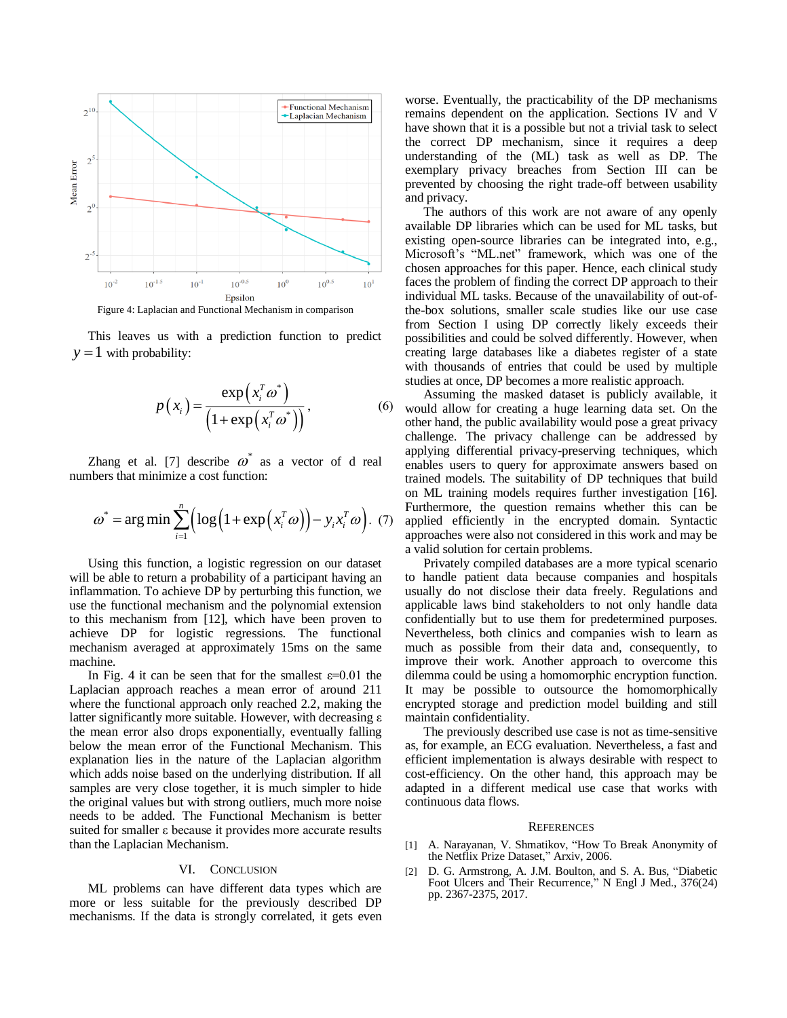

This leaves us with a prediction function to predict  $y = 1$  with probability:

$$
p(x_i) = \frac{\exp(x_i^T \omega^*)}{\left(1 + \exp(x_i^T \omega^*)\right)},
$$
\n(6)

Zhang et al. [7] describe  $\omega^*$  as a vector of d real numbers that minimize a cost function:

$$
\omega^* = \arg\min \sum_{i=1}^n \Bigl( \log \Bigl( 1 + \exp \Bigl( x_i^T \omega \Bigr) \Bigr) - y_i x_i^T \omega \Bigr). \tag{7}
$$

Using this function, a logistic regression on our dataset will be able to return a probability of a participant having an inflammation. To achieve DP by perturbing this function, we use the functional mechanism and the polynomial extension to this mechanism from [12], which have been proven to achieve DP for logistic regressions. The functional mechanism averaged at approximately 15ms on the same machine.

In Fig. 4 it can be seen that for the smallest  $\varepsilon$ =0.01 the Laplacian approach reaches a mean error of around 211 where the functional approach only reached 2.2, making the latter significantly more suitable. However, with decreasing ε the mean error also drops exponentially, eventually falling below the mean error of the Functional Mechanism. This explanation lies in the nature of the Laplacian algorithm which adds noise based on the underlying distribution. If all samples are very close together, it is much simpler to hide the original values but with strong outliers, much more noise needs to be added. The Functional Mechanism is better suited for smaller ε because it provides more accurate results than the Laplacian Mechanism.

#### VI. CONCLUSION

ML problems can have different data types which are more or less suitable for the previously described DP mechanisms. If the data is strongly correlated, it gets even worse. Eventually, the practicability of the DP mechanisms remains dependent on the application. Sections IV and V have shown that it is a possible but not a trivial task to select the correct DP mechanism, since it requires a deep understanding of the (ML) task as well as DP. The exemplary privacy breaches from Section III can be prevented by choosing the right trade-off between usability and privacy.

The authors of this work are not aware of any openly available DP libraries which can be used for ML tasks, but existing open-source libraries can be integrated into, e.g., Microsoft's "ML.net" framework, which was one of the chosen approaches for this paper. Hence, each clinical study faces the problem of finding the correct DP approach to their individual ML tasks. Because of the unavailability of out-ofthe-box solutions, smaller scale studies like our use case from Section I using DP correctly likely exceeds their possibilities and could be solved differently. However, when creating large databases like a diabetes register of a state with thousands of entries that could be used by multiple studies at once, DP becomes a more realistic approach.

Assuming the masked dataset is publicly available, it would allow for creating a huge learning data set. On the other hand, the public availability would pose a great privacy challenge. The privacy challenge can be addressed by applying differential privacy-preserving techniques, which enables users to query for approximate answers based on trained models. The suitability of DP techniques that build on ML training models requires further investigation [16]. Furthermore, the question remains whether this can be applied efficiently in the encrypted domain. Syntactic approaches were also not considered in this work and may be a valid solution for certain problems.

Privately compiled databases are a more typical scenario to handle patient data because companies and hospitals usually do not disclose their data freely. Regulations and applicable laws bind stakeholders to not only handle data confidentially but to use them for predetermined purposes. Nevertheless, both clinics and companies wish to learn as much as possible from their data and, consequently, to improve their work. Another approach to overcome this dilemma could be using a homomorphic encryption function. It may be possible to outsource the homomorphically encrypted storage and prediction model building and still maintain confidentiality.

The previously described use case is not as time-sensitive as, for example, an ECG evaluation. Nevertheless, a fast and efficient implementation is always desirable with respect to cost-efficiency. On the other hand, this approach may be adapted in a different medical use case that works with continuous data flows.

#### **REFERENCES**

- [1] A. Narayanan, V. Shmatikov, "How To Break Anonymity of the Netflix Prize Dataset," Arxiv, 2006.
- [2] D. G. Armstrong, A. J.M. Boulton, and S. A. Bus, "Diabetic Foot Ulcers and Their Recurrence," N Engl J Med., 376(24) pp. 2367-2375, 2017.